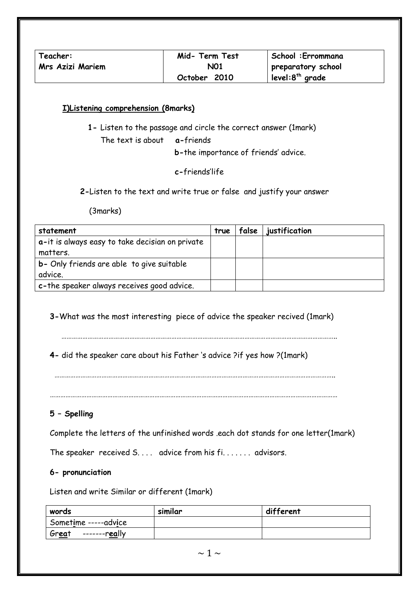| Teacher:         | Mid- Term Test | School: Errommana           |
|------------------|----------------|-----------------------------|
| Mrs Azizi Mariem | N01            | preparatory school          |
|                  | October 2010   | level:8 <sup>th</sup> grade |

#### **I)Listening comprehension (8marks)**

**1-** Listen to the passage and circle the correct answer (1mark)

The text is about **a-**friends

**b-**the importance of friends' advice.

**c-**friends'life

 **2-**Listen to the text and write true or false and justify your answer

(3marks)

| statement                                       | true | false | justification |
|-------------------------------------------------|------|-------|---------------|
| a-it is always easy to take decisian on private |      |       |               |
| matters.                                        |      |       |               |
| b- Only friends are able to give suitable       |      |       |               |
| advice.                                         |      |       |               |
| c-the speaker always receives good advice.      |      |       |               |

**3-**What was the most interesting piece of advice the speaker recived (1mark)

…………………………………………………………………………………………………………………………………………..

**4-** did the speaker care about his Father 's advice ?if yes how ?(1mark)

…………………………………………………………………………………………………………………………………………………

## **5 – Spelling**

Complete the letters of the unfinished words .each dot stands for one letter(1mark)

The speaker received S.... advice from his fi....... advisors.

#### **6- pronunciation**

Listen and write Similar or different (1mark)

| words                  | similar | different |
|------------------------|---------|-----------|
| Sometime -----advice   |         |           |
| Great<br>-------really |         |           |

 $\sim$  1  $\sim$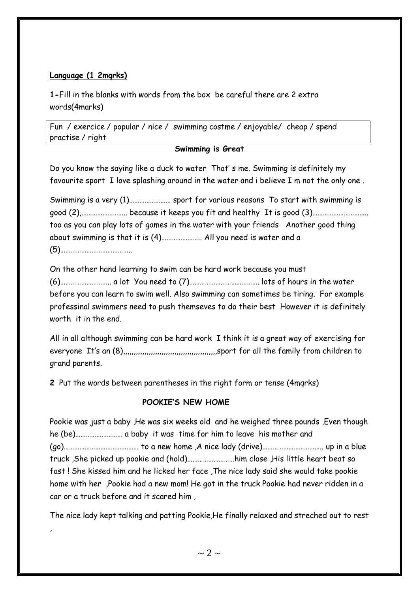## **Language (1 2mqrks)**

,

**1-**Fill in the blanks with words from the box be careful there are 2 extra words(4marks)

Fun / exercice / popular / nice / swimming costme / enjoyable/ cheap / spend practise / right

## **Swimming is Great**

Do you know the saying like a duck to water That' s me. Swimming is definitely my favourite sport I love splashing around in the water and i believe I m not the only one .

Swimming is a very (1)…………………… sport for various reasons To start with swimming is good (2),…………………….. because it keeps you fit and healthy It is good (3)………………………….. too as you can play lots of games in the water with your friends Another good thing about swimming is that it is (4)………………….. All you need is water and a (5)…………………………………..

On the other hand learning to swim can be hard work because you must (6)……………………….. a lot You need to (7)…………………………………. lots of hours in the water before you can learn to swim well. Also swimming can sometimes be tiring. For example professinal swimmers need to push themseves to do their best However it is definitely worth it in the end.

All in all although swimming can be hard work I think it is a great way of exercising for everyone It's an (8),,,,,,,,,,,,,,,,,,,,,,,,,,,,,,,,,,,,,,,,,,,,sport for all the family from children to grand parents.

**2** Put the words between parentheses in the right form or tense (4mqrks)

# **POOKIE'S NEW HOME**

Pookie was just a baby ,He was six weeks old and he weighed three pounds ,Even though he (be)……………………… a baby it was time for him to leave his mother and (go)……………………………………. to a new home ,A nice lady (drive)…………………………….. up in a blue truck ,She picked up pookie and (hold)………………………him close ,His little heart beat so fast ! She kissed him and he licked her face ,The nice lady said she would take pookie home with her ,Pookie had a new mom! He got in the truck Pookie had never ridden in a car or a truck before and it scared him ,

The nice lady kept talking and patting Pookie,He finally relaxed and streched out to rest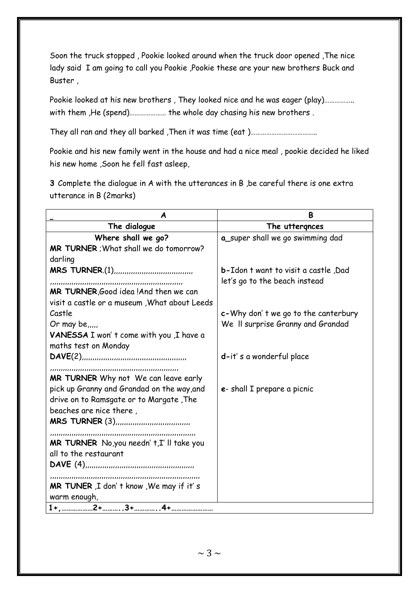Soon the truck stopped , Pookie looked around when the truck door opened ,The nice lady said I am going to call you Pookie ,Pookie these are your new brothers Buck and Buster ,

Pookie looked at his new brothers , They looked nice and he was eager (play)…………….. with them ,He (spend)………………… the whole day chasing his new brothers .

They all ran and they all barked , Then it was time (eat )…………………………………………………………

Pookie and his new family went in the house and had a nice meal , pookie decided he liked his new home ,Soon he fell fast asleep,

**3** Complete the dialogue in A with the utterances in B ,be careful there is one extra utterance in B (2marks)

| A                                                                                  | B                                    |
|------------------------------------------------------------------------------------|--------------------------------------|
| The dialogue                                                                       | The uttergnces                       |
| Where shall we go?                                                                 | a_super shall we go swimming dad     |
| MR TURNER ; What shall we do tomorrow?                                             |                                      |
| darling                                                                            |                                      |
| <b>MRS TURNER.(1)</b>                                                              | b-Idon t want to visit a castle, Dad |
|                                                                                    | let's go to the beach instead        |
| MR TURNER, Good idea ! And then we can                                             |                                      |
| visit a castle or a museum, What about Leeds                                       |                                      |
| Castle                                                                             | c-Why don't we go to the canterbury  |
| Or may be $\ldots$                                                                 | We II surprise Granny and Grandad    |
| VANESSA I won't come with you ,I have a                                            |                                      |
| maths test on Monday                                                               |                                      |
|                                                                                    | d-it's a wonderful place             |
|                                                                                    |                                      |
| MR TURNER Why not We can leave early<br>pick up Granny and Grandad on the way, and | e- shall I prepare a picnic          |
| drive on to Ramsgate or to Margate, The                                            |                                      |
| beaches are nice there,                                                            |                                      |
|                                                                                    |                                      |
|                                                                                    |                                      |
| MR TURNER No, you needn't, I'll take you                                           |                                      |
| all to the restaurant                                                              |                                      |
| DAVE(4)                                                                            |                                      |
|                                                                                    |                                      |
| MR TUNER, I don't know, We may if it's                                             |                                      |
| warm enough,                                                                       |                                      |
|                                                                                    |                                      |